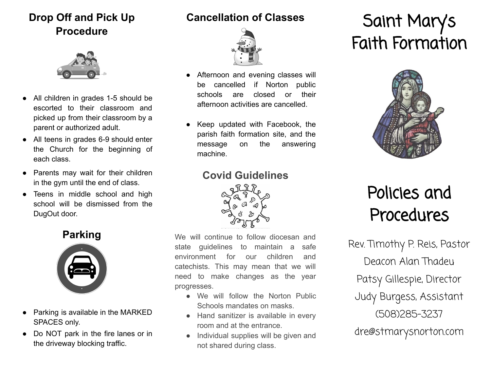## **Drop Off and Pick Up Procedure**



- All children in grades 1-5 should be escorted to their classroom and picked up from their classroom by a parent or authorized adult.
- All teens in grades 6-9 should enter the Church for the beginning of each class.
- Parents may wait for their children in the gym until the end of class.
- Teens in middle school and high school will be dismissed from the DugOut door.

#### **Parking**



- Parking is available in the MARKED SPACES only.
- Do NOT park in the fire lanes or in the driveway blocking traffic.

#### **Cancellation of Classes**



- Afternoon and evening classes will be cancelled if Norton public schools are closed or their afternoon activities are cancelled.
- Keep updated with Facebook, the parish faith formation site, and the message on the answering machine.

#### **Covid Guidelines**



We will continue to follow diocesan and state guidelines to maintain a safe environment for our children and catechists. This may mean that we will need to make changes as the year progresses.

- We will follow the Norton Public Schools mandates on masks.
- Hand sanitizer is available in every room and at the entrance.
- Individual supplies will be given and not shared during class.

# Saint Mary's Faith Formation



# Policies and Procedures

Rev. Timothy P. Reis, Pastor Deacon Alan Thadeu Patsy Gillespie, Director Judy Burgess, Assistant (508)285-3237 dre@stmarysnorton.com